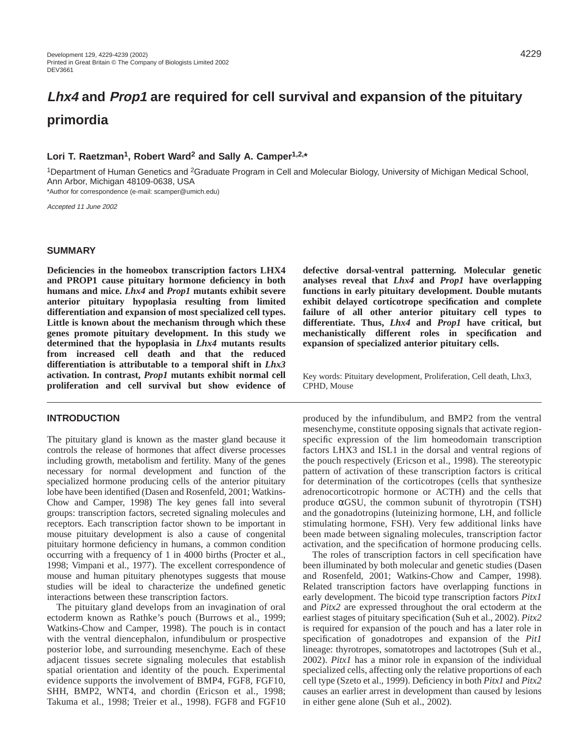# **Lhx4 and Prop1 are required for cell survival and expansion of the pituitary primordia**

## **Lori T. Raetzman1, Robert Ward2 and Sally A. Camper1,2,\***

1Department of Human Genetics and 2Graduate Program in Cell and Molecular Biology, University of Michigan Medical School, Ann Arbor, Michigan 48109-0638, USA

\*Author for correspondence (e-mail: scamper@umich.edu)

Accepted 11 June 2002

#### **SUMMARY**

**Deficiencies in the homeobox transcription factors LHX4 and PROP1 cause pituitary hormone deficiency in both humans and mice.** *Lhx4* **and** *Prop1* **mutants exhibit severe anterior pituitary hypoplasia resulting from limited differentiation and expansion of most specialized cell types. Little is known about the mechanism through which these genes promote pituitary development. In this study we determined that the hypoplasia in** *Lhx4* **mutants results from increased cell death and that the reduced differentiation is attributable to a temporal shift in** *Lhx3* **activation. In contrast,** *Prop1* **mutants exhibit normal cell proliferation and cell survival but show evidence of**

#### **INTRODUCTION**

The pituitary gland is known as the master gland because it controls the release of hormones that affect diverse processes including growth, metabolism and fertility. Many of the genes necessary for normal development and function of the specialized hormone producing cells of the anterior pituitary lobe have been identified (Dasen and Rosenfeld, 2001; Watkins-Chow and Camper, 1998) The key genes fall into several groups: transcription factors, secreted signaling molecules and receptors. Each transcription factor shown to be important in mouse pituitary development is also a cause of congenital pituitary hormone deficiency in humans, a common condition occurring with a frequency of 1 in 4000 births (Procter et al., 1998; Vimpani et al., 1977). The excellent correspondence of mouse and human pituitary phenotypes suggests that mouse studies will be ideal to characterize the undefined genetic interactions between these transcription factors.

The pituitary gland develops from an invagination of oral ectoderm known as Rathke's pouch (Burrows et al., 1999; Watkins-Chow and Camper, 1998). The pouch is in contact with the ventral diencephalon, infundibulum or prospective posterior lobe, and surrounding mesenchyme. Each of these adjacent tissues secrete signaling molecules that establish spatial orientation and identity of the pouch. Experimental evidence supports the involvement of BMP4, FGF8, FGF10, SHH, BMP2, WNT4, and chordin (Ericson et al., 1998; Takuma et al., 1998; Treier et al., 1998). FGF8 and FGF10 **defective dorsal-ventral patterning. Molecular genetic analyses reveal that** *Lhx4* **and** *Prop1* **have overlapping functions in early pituitary development. Double mutants exhibit delayed corticotrope specification and complete failure of all other anterior pituitary cell types to differentiate. Thus,** *Lhx4* **and** *Prop1* **have critical, but mechanistically different roles in specification and expansion of specialized anterior pituitary cells.**

Key words: Pituitary development, Proliferation, Cell death, Lhx3, CPHD, Mouse

produced by the infundibulum, and BMP2 from the ventral mesenchyme, constitute opposing signals that activate regionspecific expression of the lim homeodomain transcription factors LHX3 and ISL1 in the dorsal and ventral regions of the pouch respectively (Ericson et al., 1998). The stereotypic pattern of activation of these transcription factors is critical for determination of the corticotropes (cells that synthesize adrenocorticotropic hormone or ACTH) and the cells that produce  $\alpha$ GSU, the common subunit of thyrotropin (TSH) and the gonadotropins (luteinizing hormone, LH, and follicle stimulating hormone, FSH). Very few additional links have been made between signaling molecules, transcription factor activation, and the specification of hormone producing cells.

The roles of transcription factors in cell specification have been illuminated by both molecular and genetic studies (Dasen and Rosenfeld, 2001; Watkins-Chow and Camper, 1998). Related transcription factors have overlapping functions in early development. The bicoid type transcription factors *Pitx1* and *Pitx2* are expressed throughout the oral ectoderm at the earliest stages of pituitary specification (Suh et al., 2002). *Pitx2* is required for expansion of the pouch and has a later role in specification of gonadotropes and expansion of the *Pit1* lineage: thyrotropes, somatotropes and lactotropes (Suh et al., 2002). *Pitx1* has a minor role in expansion of the individual specialized cells, affecting only the relative proportions of each cell type (Szeto et al., 1999). Deficiency in both *Pitx1* and *Pitx2* causes an earlier arrest in development than caused by lesions in either gene alone (Suh et al., 2002).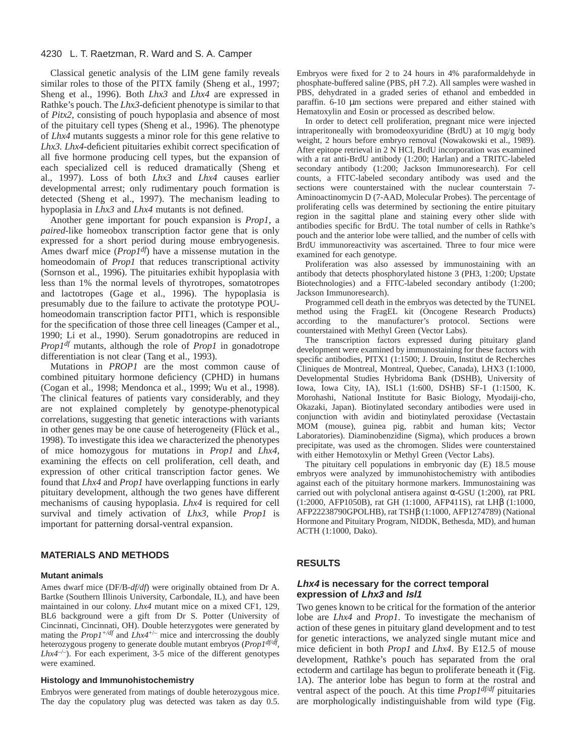Classical genetic analysis of the LIM gene family reveals similar roles to those of the PITX family (Sheng et al., 1997; Sheng et al., 1996). Both *Lhx3* and *Lhx4* are expressed in Rathke's pouch. The *Lhx3*-deficient phenotype is similar to that of *Pitx2*, consisting of pouch hypoplasia and absence of most of the pituitary cell types (Sheng et al., 1996). The phenotype of *Lhx4* mutants suggests a minor role for this gene relative to *Lhx3. Lhx4-*deficient pituitaries exhibit correct specification of all five hormone producing cell types, but the expansion of each specialized cell is reduced dramatically (Sheng et al., 1997). Loss of both *Lhx3* and *Lhx4* causes earlier developmental arrest; only rudimentary pouch formation is detected (Sheng et al., 1997). The mechanism leading to hypoplasia in *Lhx3* and *Lhx4* mutants is not defined.

Another gene important for pouch expansion is *Prop1*, a *paired*-like homeobox transcription factor gene that is only expressed for a short period during mouse embryogenesis. Ames dwarf mice (*Prop1df*) have a missense mutation in the homeodomain of *Prop1* that reduces transcriptional activity (Sornson et al., 1996). The pituitaries exhibit hypoplasia with less than 1% the normal levels of thyrotropes, somatotropes and lactotropes (Gage et al., 1996). The hypoplasia is presumably due to the failure to activate the prototype POUhomeodomain transcription factor PIT1, which is responsible for the specification of those three cell lineages (Camper et al., 1990; Li et al., 1990). Serum gonadotropins are reduced in *Prop1df* mutants, although the role of *Prop1* in gonadotrope differentiation is not clear (Tang et al., 1993).

Mutations in *PROP1* are the most common cause of combined pituitary hormone deficiency (CPHD) in humans (Cogan et al., 1998; Mendonca et al., 1999; Wu et al., 1998). The clinical features of patients vary considerably, and they are not explained completely by genotype-phenotypical correlations, suggesting that genetic interactions with variants in other genes may be one cause of heterogeneity (Flück et al., 1998). To investigate this idea we characterized the phenotypes of mice homozygous for mutations in *Prop1* and *Lhx4*, examining the effects on cell proliferation, cell death, and expression of other critical transcription factor genes. We found that *Lhx4* and *Prop1* have overlapping functions in early pituitary development, although the two genes have different mechanisms of causing hypoplasia. *Lhx4* is required for cell survival and timely activation of *Lhx3*, while *Prop1* is important for patterning dorsal-ventral expansion.

## **MATERIALS AND METHODS**

#### **Mutant animals**

Ames dwarf mice (DF/B-*df/df*) were originally obtained from Dr A. Bartke (Southern Illinois University, Carbondale, IL), and have been maintained in our colony. *Lhx4* mutant mice on a mixed CF1, 129, BL6 background were a gift from Dr S. Potter (University of Cincinnati, Cincinnati, OH). Double heterzygotes were generated by mating the  $Prop1^{+/df}$  and  $Lhx4^{+/-}$  mice and intercrossing the doubly heterozygous progeny to generate double mutant embryos (*Prop1df/df,*  $Lhx4^{-/-}$ ). For each experiment, 3-5 mice of the different genotypes were examined.

#### **Histology and Immunohistochemistry**

Embryos were generated from matings of double heterozygous mice. The day the copulatory plug was detected was taken as day 0.5. Embryos were fixed for 2 to 24 hours in 4% paraformaldehyde in phosphate-buffered saline (PBS, pH 7.2). All samples were washed in PBS, dehydrated in a graded series of ethanol and embedded in paraffin. 6-10 µm sections were prepared and either stained with Hematoxylin and Eosin or processed as described below.

In order to detect cell proliferation, pregnant mice were injected intraperitoneally with bromodeoxyuridine (BrdU) at 10 mg/g body weight, 2 hours before embryo removal (Nowakowski et al., 1989). After epitope retrieval in 2 N HCl, BrdU incorporation was examined with a rat anti-BrdU antibody (1:200; Harlan) and a TRITC-labeled secondary antibody (1:200; Jackson Immunoresearch). For cell counts, a FITC-labeled secondary antibody was used and the sections were counterstained with the nuclear counterstain 7- Aminoactinomycin D (7-AAD, Molecular Probes). The percentage of proliferating cells was determined by sectioning the entire pituitary region in the sagittal plane and staining every other slide with antibodies specific for BrdU. The total number of cells in Rathke's pouch and the anterior lobe were tallied, and the number of cells with BrdU immunoreactivity was ascertained. Three to four mice were examined for each genotype.

Proliferation was also assessed by immunostaining with an antibody that detects phosphorylated histone 3 (PH3, 1:200; Upstate Biotechnologies) and a FITC-labeled secondary antibody (1:200; Jackson Immunoresearch).

Programmed cell death in the embryos was detected by the TUNEL method using the FragEL kit (Oncogene Research Products) according to the manufacturer's protocol. Sections were counterstained with Methyl Green (Vector Labs).

The transcription factors expressed during pituitary gland development were examined by immunostaining for these factors with specific antibodies, PITX1 (1:1500; J. Drouin, Institut de Recherches Cliniques de Montreal, Montreal, Quebec, Canada), LHX3 (1:1000, Developmental Studies Hybridoma Bank (DSHB), University of Iowa, Iowa City, IA), ISL1 (1:600, DSHB) SF-1 (1:1500, K. Morohashi, National Institute for Basic Biology, Myodaiji-cho, Okazaki, Japan). Biotinylated secondary antibodies were used in conjunction with avidin and biotinylated peroxidase (Vectastain MOM (mouse), guinea pig, rabbit and human kits; Vector Laboratories). Diaminobenzidine (Sigma), which produces a brown precipitate, was used as the chromogen. Slides were counterstained with either Hemotoxylin or Methyl Green (Vector Labs).

The pituitary cell populations in embryonic day (E) 18.5 mouse embryos were analyzed by immunohistochemistry with antibodies against each of the pituitary hormone markers. Immunostaining was carried out with polyclonal antisera against  $α$ -GSU (1:200), rat PRL (1:2000, AFP1050B), rat GH (1:1000, AFP411S), rat LHβ (1:1000, AFP22238790GPOLHB), rat TSHβ (1:1000, AFP1274789) (National Hormone and Pituitary Program, NIDDK, Bethesda, MD), and human ACTH (1:1000, Dako).

#### **RESULTS**

#### **Lhx4 is necessary for the correct temporal expression of Lhx3 and Isl1**

Two genes known to be critical for the formation of the anterior lobe are *Lhx4* and *Prop1*. To investigate the mechanism of action of these genes in pituitary gland development and to test for genetic interactions, we analyzed single mutant mice and mice deficient in both *Prop1* and *Lhx4*. By E12.5 of mouse development, Rathke's pouch has separated from the oral ectoderm and cartilage has begun to proliferate beneath it (Fig. 1A). The anterior lobe has begun to form at the rostral and ventral aspect of the pouch. At this time *Prop1df/df* pituitaries are morphologically indistinguishable from wild type (Fig.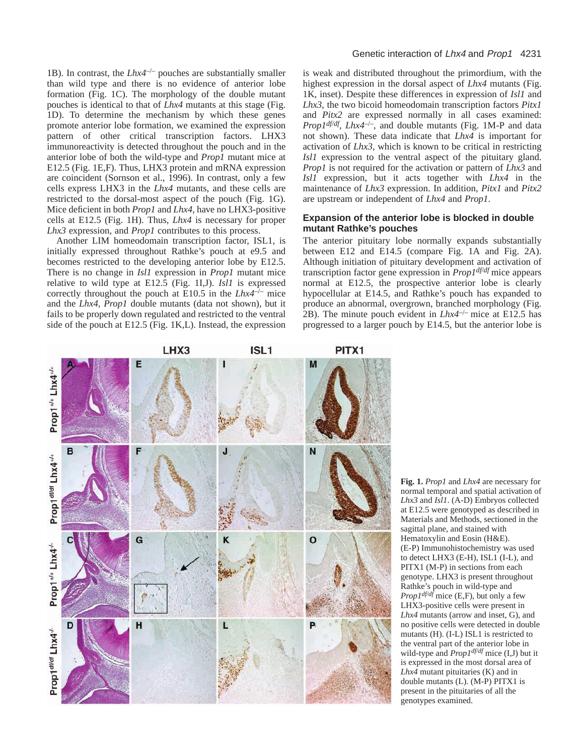1B). In contrast, the *Lhx4*–/– pouches are substantially smaller than wild type and there is no evidence of anterior lobe formation (Fig. 1C). The morphology of the double mutant pouches is identical to that of *Lhx4* mutants at this stage (Fig. 1D). To determine the mechanism by which these genes promote anterior lobe formation, we examined the expression pattern of other critical transcription factors. LHX3 immunoreactivity is detected throughout the pouch and in the anterior lobe of both the wild-type and *Prop1* mutant mice at E12.5 (Fig. 1E,F). Thus, LHX3 protein and mRNA expression are coincident (Sornson et al., 1996). In contrast, only a few cells express LHX3 in the *Lhx4* mutants, and these cells are restricted to the dorsal-most aspect of the pouch (Fig. 1G). Mice deficient in both *Prop1* and *Lhx4*, have no LHX3-positive cells at E12.5 (Fig. 1H). Thus, *Lhx4* is necessary for proper *Lhx3* expression, and *Prop1* contributes to this process.

Another LIM homeodomain transcription factor, ISL1, is initially expressed throughout Rathke's pouch at e9.5 and becomes restricted to the developing anterior lobe by E12.5. There is no change in *Isl1* expression in *Prop1* mutant mice relative to wild type at E12.5 (Fig. 1I,J). *Isl1* is expressed correctly throughout the pouch at E10.5 in the *Lhx4*–/– mice and the *Lhx4, Prop1* double mutants (data not shown), but it fails to be properly down regulated and restricted to the ventral side of the pouch at E12.5 (Fig. 1K,L). Instead, the expression

## Genetic interaction of Lhx4 and Prop1 4231

is weak and distributed throughout the primordium, with the highest expression in the dorsal aspect of *Lhx4* mutants (Fig. 1K, inset). Despite these differences in expression of *Isl1* and *Lhx3*, the two bicoid homeodomain transcription factors *Pitx1* and *Pitx2* are expressed normally in all cases examined: *Prop1df/df*, *Lhx4*–/–, and double mutants (Fig. 1M-P and data not shown). These data indicate that *Lhx4* is important for activation of *Lhx3,* which is known to be critical in restricting *Isl1* expression to the ventral aspect of the pituitary gland. *Prop1* is not required for the activation or pattern of *Lhx3* and *Isl1* expression, but it acts together with *Lhx4* in the maintenance of *Lhx3* expression. In addition, *Pitx1* and *Pitx2* are upstream or independent of *Lhx4* and *Prop1*.

## **Expansion of the anterior lobe is blocked in double mutant Rathke's pouches**

The anterior pituitary lobe normally expands substantially between E12 and E14.5 (compare Fig. 1A and Fig. 2A). Although initiation of pituitary development and activation of transcription factor gene expression in *Prop1df/df* mice appears normal at E12.5, the prospective anterior lobe is clearly hypocellular at E14.5, and Rathke's pouch has expanded to produce an abnormal, overgrown, branched morphology (Fig. 2B). The minute pouch evident in *Lhx4*–/– mice at E12.5 has progressed to a larger pouch by E14.5, but the anterior lobe is



**Fig. 1.** *Prop1* and *Lhx4* are necessary for normal temporal and spatial activation of *Lhx3* and *Isl1*. (A-D) Embryos collected at E12.5 were genotyped as described in Materials and Methods, sectioned in the sagittal plane, and stained with Hematoxylin and Eosin (H&E). (E-P) Immunohistochemistry was used to detect LHX3 (E-H), ISL1 (I-L), and PITX1 (M-P) in sections from each genotype. LHX3 is present throughout Rathke's pouch in wild-type and *Prop1df/df* mice (E,F), but only a few LHX3-positive cells were present in *Lhx4* mutants (arrow and inset, G), and no positive cells were detected in double mutants (H). (I-L) ISL1 is restricted to the ventral part of the anterior lobe in wild-type and *Prop1df/df* mice (I,J) but it is expressed in the most dorsal area of *Lhx4* mutant pituitaries (K) and in double mutants (L). (M-P) PITX1 is present in the pituitaries of all the genotypes examined.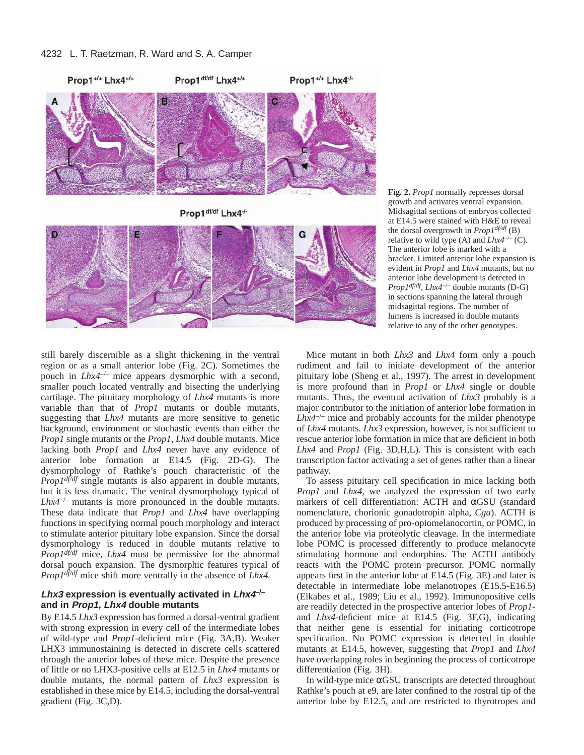

**Fig. 2.** *Prop1* normally represses dorsal growth and activates ventral expansion. Midsagittal sections of embryos collected at E14.5 were stained with H&E to reveal the dorsal overgrowth in *Prop1df/df* (B) relative to wild type (A) and  $Lhx4^{-/-}$  (C). The anterior lobe is marked with a bracket. Limited anterior lobe expansion is evident in *Prop1* and *Lhx4* mutants, but no anterior lobe development is detected in *Prop1df/df, Lhx4*–/– double mutants (D-G) in sections spanning the lateral through midsagittal regions. The number of lumens is increased in double mutants relative to any of the other genotypes.

still barely discernible as a slight thickening in the ventral region or as a small anterior lobe (Fig. 2C). Sometimes the pouch in *Lhx4*–/– mice appears dysmorphic with a second, smaller pouch located ventrally and bisecting the underlying cartilage. The pituitary morphology of *Lhx4* mutants is more variable than that of *Prop1* mutants or double mutants, suggesting that *Lhx4* mutants are more sensitive to genetic background, environment or stochastic events than either the *Prop1* single mutants or the *Prop1, Lhx4* double mutants. Mice lacking both *Prop1* and *Lhx4* never have any evidence of anterior lobe formation at E14.5 (Fig. 2D-G). The dysmorphology of Rathke's pouch characteristic of the *Prop1df/df* single mutants is also apparent in double mutants, but it is less dramatic. The ventral dysmorphology typical of  $Lhx4^{-/-}$  mutants is more pronounced in the double mutants. These data indicate that *Prop1* and *Lhx4* have overlapping functions in specifying normal pouch morphology and interact to stimulate anterior pituitary lobe expansion. Since the dorsal dysmorphology is reduced in double mutants relative to *Prop1df/df* mice, *Lhx4* must be permissive for the abnormal dorsal pouch expansion. The dysmorphic features typical of *Prop1df/df* mice shift more ventrally in the absence of *Lhx4.*

# **Lhx3 expression is eventually activated in Lhx4–/– and in Prop1, Lhx4 double mutants**

By E14.5 *Lhx3* expression has formed a dorsal-ventral gradient with strong expression in every cell of the intermediate lobes of wild-type and *Prop1*-deficient mice (Fig. 3A,B). Weaker LHX3 immunostaining is detected in discrete cells scattered through the anterior lobes of these mice. Despite the presence of little or no LHX3-positive cells at E12.5 in *Lhx4* mutants or double mutants, the normal pattern of *Lhx3* expression is established in these mice by E14.5, including the dorsal-ventral gradient (Fig. 3C,D).

Mice mutant in both *Lhx3* and *Lhx4* form only a pouch rudiment and fail to initiate development of the anterior pituitary lobe (Sheng et al., 1997). The arrest in development is more profound than in *Prop1* or *Lhx4* single or double mutants. Thus, the eventual activation of *Lhx3* probably is a major contributor to the initiation of anterior lobe formation in  $Lhx4^{-/-}$  mice and probably accounts for the milder phenotype of *Lhx4* mutants. *Lhx3* expression, however, is not sufficient to rescue anterior lobe formation in mice that are deficient in both *Lhx4* and *Prop1* (Fig. 3D,H,L). This is consistent with each transcription factor activating a set of genes rather than a linear pathway.

To assess pituitary cell specification in mice lacking both *Prop1* and *Lhx4*, we analyzed the expression of two early markers of cell differentiation: ACTH and αGSU (standard nomenclature, chorionic gonadotropin alpha, *Cga*). ACTH is produced by processing of pro-opiomelanocortin, or POMC, in the anterior lobe via proteolytic cleavage. In the intermediate lobe POMC is processed differently to produce melanocyte stimulating hormone and endorphins. The ACTH antibody reacts with the POMC protein precursor. POMC normally appears first in the anterior lobe at E14.5 (Fig. 3E) and later is detectable in intermediate lobe melanotropes (E15.5-E16.5) (Elkabes et al., 1989; Liu et al., 1992). Immunopositive cells are readily detected in the prospective anterior lobes of *Prop1* and *Lhx4*-deficient mice at E14.5 (Fig. 3F,G), indicating that neither gene is essential for initiating corticotrope specification. No POMC expression is detected in double mutants at E14.5, however, suggesting that *Prop1* and *Lhx4* have overlapping roles in beginning the process of corticotrope differentiation (Fig. 3H).

In wild-type mice αGSU transcripts are detected throughout Rathke's pouch at e9, are later confined to the rostral tip of the anterior lobe by E12.5, and are restricted to thyrotropes and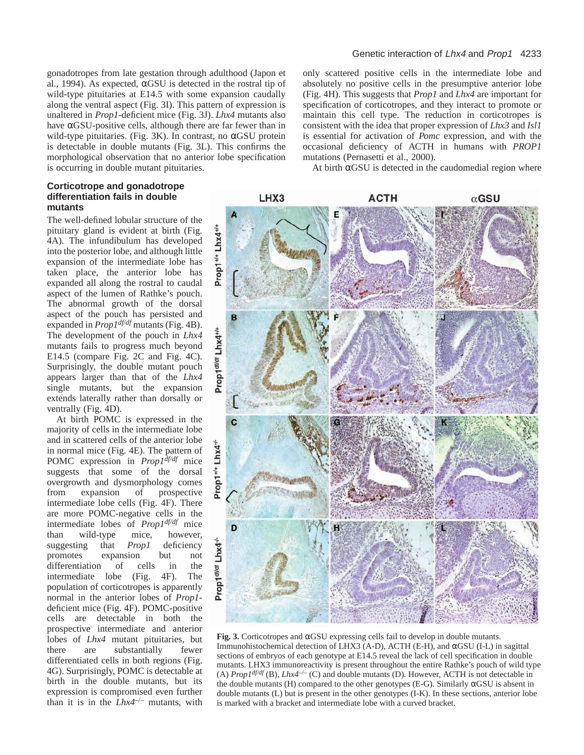gonadotropes from late gestation through adulthood (Japon et al., 1994). As expected, αGSU is detected in the rostral tip of wild-type pituitaries at E14.5 with some expansion caudally along the ventral aspect (Fig. 3I). This pattern of expression is unaltered in *Prop1*-deficient mice (Fig. 3J). *Lhx4* mutants also have αGSU-positive cells, although there are far fewer than in wild-type pituitaries. (Fig. 3K). In contrast, no  $\alpha$ GSU protein is detectable in double mutants (Fig. 3L). This confirms the morphological observation that no anterior lobe specification is occurring in double mutant pituitaries.

## **Corticotrope and gonadotrope differentiation fails in double mutants**

The well-defined lobular structure of the pituitary gland is evident at birth (Fig. 4A). The infundibulum has developed into the posterior lobe, and although little expansion of the intermediate lobe has taken place, the anterior lobe has expanded all along the rostral to caudal aspect of the lumen of Rathke's pouch. The abnormal growth of the dorsal aspect of the pouch has persisted and expanded in *Prop1df/df* mutants (Fig. 4B). The development of the pouch in *Lhx4* mutants fails to progress much beyond E14.5 (compare Fig. 2C and Fig. 4C). Surprisingly, the double mutant pouch appears larger than that of the *Lhx4* single mutants, but the expansion extends laterally rather than dorsally or ventrally (Fig. 4D).

At birth POMC is expressed in the majority of cells in the intermediate lobe and in scattered cells of the anterior lobe in normal mice (Fig. 4E). The pattern of POMC expression in *Prop1df/df* mice suggests that some of the dorsal overgrowth and dysmorphology comes from expansion of prospective intermediate lobe cells (Fig. 4F). There are more POMC-negative cells in the intermediate lobes of *Prop1df/df* mice<br>than wild-type mice, however, than wild-type mice, suggesting that *Prop1* deficiency promotes expansion but not differentiation of cells in the intermediate lobe (Fig. 4F). The population of corticotropes is apparently normal in the anterior lobes of *Prop1* deficient mice (Fig. 4F). POMC-positive cells are detectable in both the prospective intermediate and anterior lobes of *Lhx4* mutant pituitaries, but there are substantially fewer differentiated cells in both regions (Fig. 4G). Surprisingly, POMC is detectable at birth in the double mutants, but its expression is compromised even further than it is in the *Lhx4*–/– mutants, with only scattered positive cells in the intermediate lobe and absolutely no positive cells in the presumptive anterior lobe (Fig. 4H). This suggests that *Prop1* and *Lhx4* are important for specification of corticotropes, and they interact to promote or maintain this cell type. The reduction in corticotropes is consistent with the idea that proper expression of *Lhx3* and *Isl1* is essential for activation of *Pomc* expression, and with the occasional deficiency of ACTH in humans with *PROP1* mutations (Pernasetti et al., 2000).

At birth  $\alpha$ GSU is detected in the caudomedial region where



**Fig. 3.** Corticotropes and αGSU expressing cells fail to develop in double mutants. Immunohistochemical detection of LHX3 (A-D), ACTH (E-H), and  $\alpha$ GSU (I-L) in sagittal sections of embryos of each genotype at E14.5 reveal the lack of cell specification in double mutants. LHX3 immunoreactivity is present throughout the entire Rathke's pouch of wild type (A)  $Prop1^{df/df}$  (B),  $Lhx4^{-/-}$  (C) and double mutants (D). However, ACTH is not detectable in the double mutants (H) compared to the other genotypes (E-G). Similarly  $\alpha$ GSU is absent in double mutants (L) but is present in the other genotypes (I-K). In these sections, anterior lobe is marked with a bracket and intermediate lobe with a curved bracket.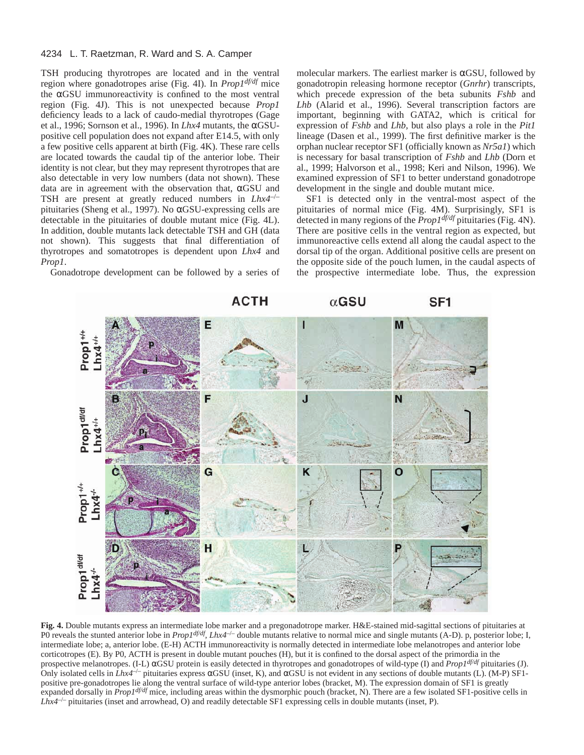TSH producing thyrotropes are located and in the ventral region where gonadotropes arise (Fig. 4I). In *Prop1df/df* mice the αGSU immunoreactivity is confined to the most ventral region (Fig. 4J). This is not unexpected because *Prop1* deficiency leads to a lack of caudo-medial thyrotropes (Gage et al., 1996; Sornson et al., 1996). In *Lhx4* mutants, the αGSUpositive cell population does not expand after E14.5, with only a few positive cells apparent at birth (Fig. 4K). These rare cells are located towards the caudal tip of the anterior lobe. Their identity is not clear, but they may represent thyrotropes that are also detectable in very low numbers (data not shown). These data are in agreement with the observation that, αGSU and TSH are present at greatly reduced numbers in *Lhx4*–/– pituitaries (Sheng et al., 1997). No αGSU-expressing cells are detectable in the pituitaries of double mutant mice (Fig. 4L). In addition, double mutants lack detectable TSH and GH (data not shown). This suggests that final differentiation of thyrotropes and somatotropes is dependent upon *Lhx4* and *Prop1*.

Gonadotrope development can be followed by a series of

molecular markers. The earliest marker is  $\alpha$ GSU, followed by gonadotropin releasing hormone receptor (*Gnrhr*) transcripts, which precede expression of the beta subunits *Fshb* and *Lhb* (Alarid et al., 1996). Several transcription factors are important, beginning with GATA2, which is critical for expression of *Fshb* and *Lhb,* but also plays a role in the *Pit1* lineage (Dasen et al., 1999). The first definitive marker is the orphan nuclear receptor SF1 (officially known as *Nr5a1*) which is necessary for basal transcription of *Fshb* and *Lhb* (Dorn et al., 1999; Halvorson et al., 1998; Keri and Nilson, 1996). We examined expression of SF1 to better understand gonadotrope development in the single and double mutant mice.

SF1 is detected only in the ventral-most aspect of the pituitaries of normal mice (Fig. 4M). Surprisingly, SF1 is detected in many regions of the *Prop1df/df* pituitaries (Fig. 4N). There are positive cells in the ventral region as expected, but immunoreactive cells extend all along the caudal aspect to the dorsal tip of the organ. Additional positive cells are present on the opposite side of the pouch lumen, in the caudal aspects of the prospective intermediate lobe. Thus, the expression



**Fig. 4.** Double mutants express an intermediate lobe marker and a pregonadotrope marker. H&E-stained mid-sagittal sections of pituitaries at PO reveals the stunted anterior lobe in *Prop1df/df, Lhx4<sup>-/-</sup>* double mutants relative to normal mice and single mutants (A-D). p, posterior lobe; I, intermediate lobe; a, anterior lobe. (E-H) ACTH immunoreactivity is normally detected in intermediate lobe melanotropes and anterior lobe corticotropes (E). By P0, ACTH is present in double mutant pouches (H), but it is confined to the dorsal aspect of the primordia in the prospective melanotropes. (I-L) αGSU protein is easily detected in thyrotropes and gonadotropes of wild-type (I) and *Prop1df/df* pituitaries (J). Only isolated cells in *Lhx4<sup>-/-</sup>* pituitaries express αGSU (inset, K), and αGSU is not evident in any sections of double mutants (L). (M-P) SF1positive pre-gonadotropes lie along the ventral surface of wild-type anterior lobes (bracket, M). The expression domain of SF1 is greatly expanded dorsally in *Prop1df/df* mice, including areas within the dysmorphic pouch (bracket, N). There are a few isolated SF1-positive cells in *Lhx4*–/– pituitaries (inset and arrowhead, O) and readily detectable SF1 expressing cells in double mutants (inset, P).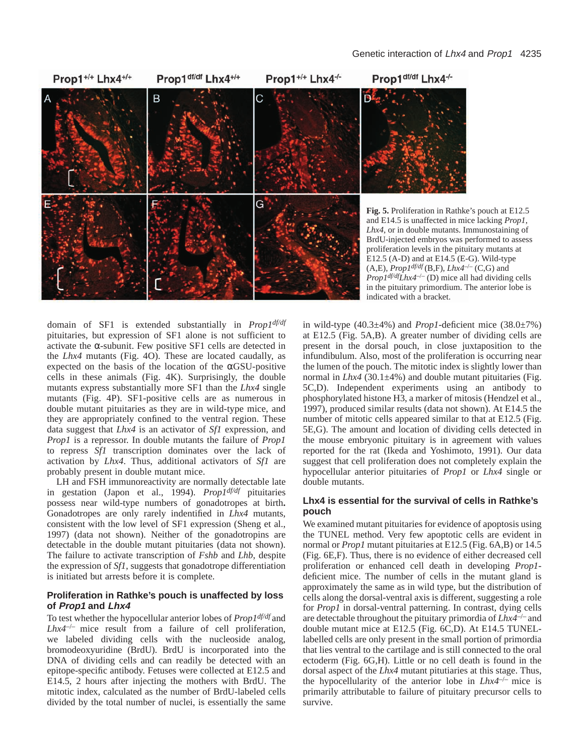

**Fig. 5.** Proliferation in Rathke's pouch at E12.5 and E14.5 is unaffected in mice lacking *Prop1*, *Lhx4*, or in double mutants. Immunostaining of BrdU-injected embryos was performed to assess proliferation levels in the pituitary mutants at E12.5 (A-D) and at E14.5 (E-G). Wild-type  $(A, E)$ , *Prop1<sup>df/df</sup>* (B,F), *Lhx4<sup>-/-</sup>* (C,G) and *Prop1df/dfLhx4*–/– (D) mice all had dividing cells in the pituitary primordium. The anterior lobe is indicated with a bracket.

domain of SF1 is extended substantially in *Prop1df/df* pituitaries, but expression of SF1 alone is not sufficient to activate the α-subunit. Few positive SF1 cells are detected in the *Lhx4* mutants (Fig. 4O). These are located caudally, as expected on the basis of the location of the  $\alpha$ GSU-positive cells in these animals (Fig. 4K). Surprisingly, the double mutants express substantially more SF1 than the *Lhx4* single mutants (Fig. 4P). SF1-positive cells are as numerous in double mutant pituitaries as they are in wild-type mice, and they are appropriately confined to the ventral region. These data suggest that *Lhx4* is an activator of *Sf1* expression, and *Prop1* is a repressor. In double mutants the failure of *Prop1* to repress *Sf1* transcription dominates over the lack of activation by *Lhx4*. Thus, additional activators of *Sf1* are probably present in double mutant mice.

LH and FSH immunoreactivity are normally detectable late in gestation (Japon et al., 1994). *Prop1df/df* pituitaries possess near wild-type numbers of gonadotropes at birth**.** Gonadotropes are only rarely indentified in *Lhx4* mutants, consistent with the low level of SF1 expression (Sheng et al., 1997) (data not shown). Neither of the gonadotropins are detectable in the double mutant pituitaries (data not shown). The failure to activate transcription of *Fshb* and *Lhb*, despite the expression of *Sf1*, suggests that gonadotrope differentiation is initiated but arrests before it is complete.

# **Proliferation in Rathke's pouch is unaffected by loss of Prop1 and Lhx4**

To test whether the hypocellular anterior lobes of *Prop1df/df* and *Lhx4*–/– mice result from a failure of cell proliferation, we labeled dividing cells with the nucleoside analog, bromodeoxyuridine (BrdU). BrdU is incorporated into the DNA of dividing cells and can readily be detected with an epitope-specific antibody. Fetuses were collected at E12.5 and E14.5, 2 hours after injecting the mothers with BrdU. The mitotic index, calculated as the number of BrdU-labeled cells divided by the total number of nuclei, is essentially the same

in wild-type  $(40.3\pm4\%)$  and *Prop1*-deficient mice  $(38.0\pm7\%)$ at E12.5 (Fig. 5A,B). A greater number of dividing cells are present in the dorsal pouch, in close juxtaposition to the infundibulum. Also, most of the proliferation is occurring near the lumen of the pouch. The mitotic index is slightly lower than normal in  $Lhx4$  (30.1 $\pm$ 4%) and double mutant pituitaries (Fig. 5C,D). Independent experiments using an antibody to phosphorylated histone H3, a marker of mitosis (Hendzel et al., 1997), produced similar results (data not shown). At E14.5 the number of mitotic cells appeared similar to that at E12.5 (Fig. 5E,G). The amount and location of dividing cells detected in the mouse embryonic pituitary is in agreement with values reported for the rat (Ikeda and Yoshimoto, 1991). Our data suggest that cell proliferation does not completely explain the hypocellular anterior pituitaries of *Prop1* or *Lhx4* single or double mutants.

# **Lhx4 is essential for the survival of cells in Rathke's pouch**

We examined mutant pituitaries for evidence of apoptosis using the TUNEL method. Very few apoptotic cells are evident in normal or *Prop1* mutant pituitaries at E12.5 (Fig. 6A,B) or 14.5 (Fig. 6E,F). Thus, there is no evidence of either decreased cell proliferation or enhanced cell death in developing *Prop1* deficient mice. The number of cells in the mutant gland is approximately the same as in wild type, but the distribution of cells along the dorsal-ventral axis is different, suggesting a role for *Prop1* in dorsal-ventral patterning. In contrast, dying cells are detectable throughout the pituitary primordia of *Lhx4*–/– and double mutant mice at E12.5 (Fig. 6C,D). At E14.5 TUNELlabelled cells are only present in the small portion of primordia that lies ventral to the cartilage and is still connected to the oral ectoderm (Fig. 6G,H). Little or no cell death is found in the dorsal aspect of the *Lhx4* mutant pitutiaries at this stage. Thus, the hypocellularity of the anterior lobe in  $Lhx4^{-/-}$  mice is primarily attributable to failure of pituitary precursor cells to survive.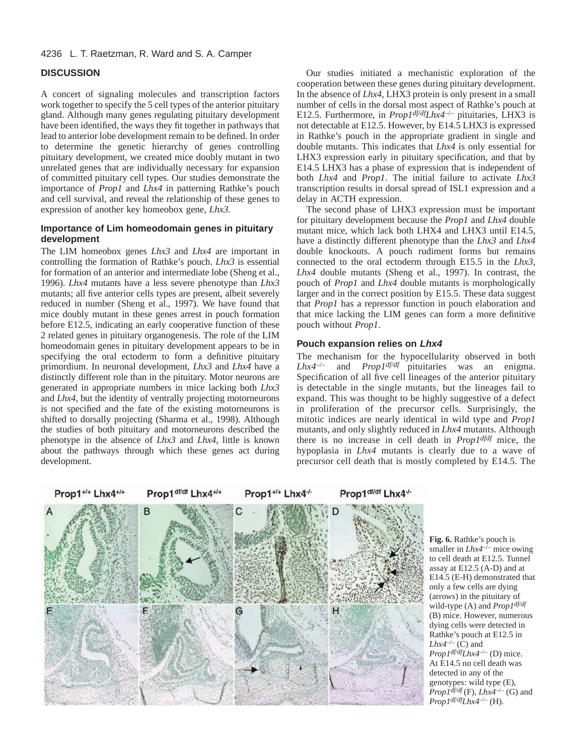# **DISCUSSION**

A concert of signaling molecules and transcription factors work together to specify the 5 cell types of the anterior pituitary gland. Although many genes regulating pituitary development have been identified, the ways they fit together in pathways that lead to anterior lobe development remain to be defined. In order to determine the genetic hierarchy of genes controlling pituitary development, we created mice doubly mutant in two unrelated genes that are individually necessary for expansion of committed pituitary cell types. Our studies demonstrate the importance of *Prop1* and *Lhx4* in patterning Rathke's pouch and cell survival, and reveal the relationship of these genes to expression of another key homeobox gene, *Lhx3.* 

# **Importance of Lim homeodomain genes in pituitary development**

The LIM homeobox genes *Lhx3* and *Lhx4* are important in controlling the formation of Rathke's pouch. *Lhx3* is essential for formation of an anterior and intermediate lobe (Sheng et al., 1996). *Lhx4* mutants have a less severe phenotype than *Lhx3* mutants; all five anterior cells types are present, albeit severely reduced in number (Sheng et al., 1997). We have found that mice doubly mutant in these genes arrest in pouch formation before E12.5, indicating an early cooperative function of these 2 related genes in pituitary organogenesis. The role of the LIM homeodomain genes in pituitary development appears to be in specifying the oral ectoderm to form a definitive pituitary primordium. In neuronal development, *Lhx3* and *Lhx4* have a distinctly different role than in the pituitary. Motor neurons are generated in appropriate numbers in mice lacking both *Lhx3* and *Lhx4*, but the identity of ventrally projecting motorneurons is not specified and the fate of the existing motorneurons is shifted to dorsally projecting (Sharma et al., 1998). Although the studies of both pituitary and motorneurons described the phenotype in the absence of *Lhx3* and *Lhx4*, little is known about the pathways through which these genes act during development.

Our studies initiated a mechanistic exploration of the cooperation between these genes during pituitary development. In the absence of *Lhx4*, LHX3 protein is only present in a small number of cells in the dorsal most aspect of Rathke's pouch at E12.5. Furthermore, in *Prop1df/dfLhx4*–/– pituitaries, LHX3 is not detectable at E12.5. However, by E14.5 LHX3 is expressed in Rathke's pouch in the appropriate gradient in single and double mutants. This indicates that *Lhx4* is only essential for LHX3 expression early in pituitary specification, and that by E14.5 LHX3 has a phase of expression that is independent of both *Lhx4* and *Prop1*. The initial failure to activate *Lhx3* transcription results in dorsal spread of ISL1 expression and a delay in ACTH expression.

The second phase of LHX3 expression must be important for pituitary development because the *Prop1* and *Lhx4* double mutant mice, which lack both LHX4 and LHX3 until E14.5, have a distinctly different phenotype than the *Lhx3* and *Lhx4* double knockouts. A pouch rudiment forms but remains connected to the oral ectoderm through E15.5 in the *Lhx3, Lhx4* double mutants (Sheng et al., 1997). In contrast, the pouch of *Prop1* and *Lhx4* double mutants is morphologically larger and in the correct position by E15.5. These data suggest that *Prop1* has a repressor function in pouch elaboration and that mice lacking the LIM genes can form a more definitive pouch without *Prop1*.

## **Pouch expansion relies on Lhx4**

The mechanism for the hypocellularity observed in both *Lhx4*–/– and *Prop1df/df* pituitaries was an enigma. Specification of all five cell lineages of the anterior pituitary is detectable in the single mutants, but the lineages fail to expand. This was thought to be highly suggestive of a defect in proliferation of the precursor cells. Surprisingly, the mitotic indices are nearly identical in wild type and *Prop1* mutants, and only slightly reduced in *Lhx4* mutants. Although there is no increase in cell death in *Prop1dfdf* mice, the hypoplasia in *Lhx4* mutants is clearly due to a wave of precursor cell death that is mostly completed by E14.5. The



**Fig. 6.** Rathke's pouch is smaller in  $Lhx4^{-/-}$  mice owing to cell death at E12.5. Tunnel assay at E12.5 (A-D) and at E14.5 (E-H) demonstrated that only a few cells are dying (arrows) in the pituitary of wild-type (A) and *Prop1df/df* (B) mice. However, numerous dying cells were detected in Rathke's pouch at E12.5 in  $Lhx4^{-/-}$  (C) and *Prop1df/dfLhx4*–/– (D) mice. At E14.5 no cell death was detected in any of the genotypes: wild type (E),  $PropI^{\frac{1}{d}f/df}$  (F),  $Lhx^{d-/-}$  (G) and *Prop1df/dfLhx4*–/– (H).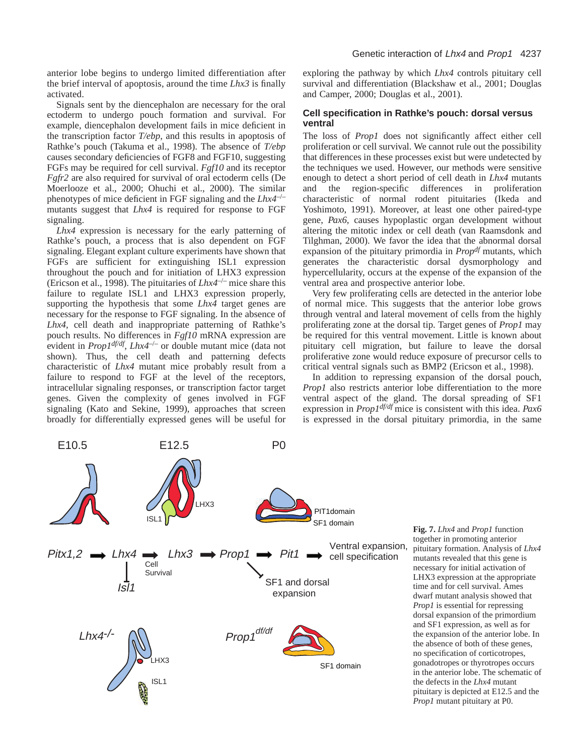anterior lobe begins to undergo limited differentiation after the brief interval of apoptosis, around the time *Lhx3* is finally activated.

Signals sent by the diencephalon are necessary for the oral ectoderm to undergo pouch formation and survival. For example, diencephalon development fails in mice deficient in the transcription factor *T/ebp*, and this results in apoptosis of Rathke's pouch (Takuma et al., 1998). The absence of *T/ebp* causes secondary deficiencies of FGF8 and FGF10, suggesting FGFs may be required for cell survival. *Fgf10* and its receptor *Fgfr2* are also required for survival of oral ectoderm cells (De Moerlooze et al., 2000; Ohuchi et al., 2000). The similar phenotypes of mice deficient in FGF signaling and the *Lhx4*–/– mutants suggest that *Lhx4* is required for response to FGF signaling.

*Lhx4* expression is necessary for the early patterning of Rathke's pouch, a process that is also dependent on FGF signaling. Elegant explant culture experiments have shown that FGFs are sufficient for extinguishing ISL1 expression throughout the pouch and for initiation of LHX3 expression (Ericson et al., 1998). The pituitaries of *Lhx4*–/– mice share this failure to regulate ISL1 and LHX3 expression properly, supporting the hypothesis that some *Lhx4* target genes are necessary for the response to FGF signaling. In the absence of *Lhx4,* cell death and inappropriate patterning of Rathke's pouch results. No differences in *Fgf10* mRNA expression are evident in *Prop1df/df*, *Lhx4*–/– or double mutant mice (data not shown). Thus, the cell death and patterning defects characteristic of *Lhx4* mutant mice probably result from a failure to respond to FGF at the level of the receptors, intracellular signaling responses, or transcription factor target genes. Given the complexity of genes involved in FGF signaling (Kato and Sekine, 1999), approaches that screen broadly for differentially expressed genes will be useful for exploring the pathway by which *Lhx4* controls pituitary cell survival and differentiation (Blackshaw et al., 2001; Douglas and Camper, 2000; Douglas et al., 2001).

## **Cell specification in Rathke's pouch: dorsal versus ventral**

The loss of *Prop1* does not significantly affect either cell proliferation or cell survival. We cannot rule out the possibility that differences in these processes exist but were undetected by the techniques we used. However, our methods were sensitive enough to detect a short period of cell death in *Lhx4* mutants and the region-specific differences in proliferation characteristic of normal rodent pituitaries (Ikeda and Yoshimoto, 1991). Moreover, at least one other paired-type gene, *Pax6*, causes hypoplastic organ development without altering the mitotic index or cell death (van Raamsdonk and Tilghman, 2000). We favor the idea that the abnormal dorsal expansion of the pituitary primordia in *Propdf* mutants, which generates the characteristic dorsal dysmorphology and hypercellularity, occurs at the expense of the expansion of the ventral area and prospective anterior lobe.

Very few proliferating cells are detected in the anterior lobe of normal mice. This suggests that the anterior lobe grows through ventral and lateral movement of cells from the highly proliferating zone at the dorsal tip. Target genes of *Prop1* may be required for this ventral movement. Little is known about pituitary cell migration, but failure to leave the dorsal proliferative zone would reduce exposure of precursor cells to critical ventral signals such as BMP2 (Ericson et al., 1998).

In addition to repressing expansion of the dorsal pouch, *Prop1* also restricts anterior lobe differentiation to the more ventral aspect of the gland. The dorsal spreading of SF1 expression in *Prop1df/df* mice is consistent with this idea. *Pax6* is expressed in the dorsal pituitary primordia, in the same



**Fig. 7.** *Lhx4* and *Prop1* function together in promoting anterior pituitary formation. Analysis of *Lhx4* mutants revealed that this gene is necessary for initial activation of LHX3 expression at the appropriate time and for cell survival. Ames dwarf mutant analysis showed that *Prop1* is essential for repressing dorsal expansion of the primordium and SF1 expression, as well as for the expansion of the anterior lobe. In the absence of both of these genes, no specification of corticotropes, gonadotropes or thyrotropes occurs in the anterior lobe. The schematic of the defects in the *Lhx4* mutant pituitary is depicted at E12.5 and the *Prop1* mutant pituitary at P0.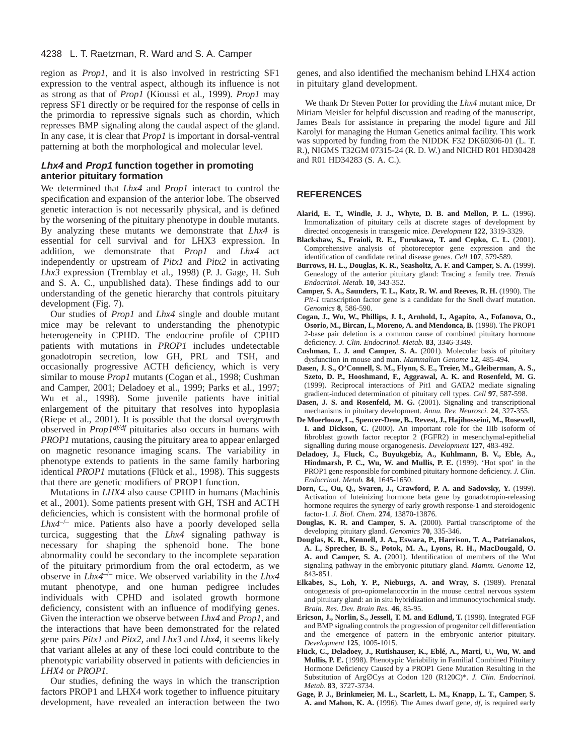region as *Prop1,* and it is also involved in restricting SF1 expression to the ventral aspect, although its influence is not as strong as that of *Prop1* (Kioussi et al., 1999)*. Prop1* may repress SF1 directly or be required for the response of cells in the primordia to repressive signals such as chordin, which represses BMP signaling along the caudal aspect of the gland. In any case, it is clear that *Prop1* is important in dorsal-ventral patterning at both the morphological and molecular level.

## **Lhx4 and Prop1 function together in promoting anterior pituitary formation**

We determined that *Lhx4* and *Prop1* interact to control the specification and expansion of the anterior lobe. The observed genetic interaction is not necessarily physical, and is defined by the worsening of the pituitary phenotype in double mutants. By analyzing these mutants we demonstrate that *Lhx4* is essential for cell survival and for LHX3 expression. In addition, we demonstrate that *Prop1* and *Lhx4* act independently or upstream of *Pitx1* and *Pitx2* in activating *Lhx3* expression (Tremblay et al., 1998) (P. J. Gage, H. Suh and S. A. C., unpublished data). These findings add to our understanding of the genetic hierarchy that controls pituitary development (Fig. 7).

Our studies of *Prop1* and *Lhx4* single and double mutant mice may be relevant to understanding the phenotypic heterogeneity in CPHD. The endocrine profile of CPHD patients with mutations in *PROP1* includes undetectable gonadotropin secretion, low GH, PRL and TSH, and occasionally progressive ACTH deficiency, which is very similar to mouse *Prop1* mutants (Cogan et al., 1998; Cushman and Camper, 2001; Deladoey et al., 1999; Parks et al., 1997; Wu et al., 1998). Some juvenile patients have initial enlargement of the pituitary that resolves into hypoplasia (Riepe et al., 2001). It is possible that the dorsal overgrowth observed in *Prop1df/df* pituitaries also occurs in humans with *PROP1* mutations, causing the pituitary area to appear enlarged on magnetic resonance imaging scans. The variability in phenotype extends to patients in the same family harboring identical *PROP1* mutations (Flück et al., 1998). This suggests that there are genetic modifiers of PROP1 function.

Mutations in *LHX4* also cause CPHD in humans (Machinis et al., 2001). Some patients present with GH, TSH and ACTH deficiencies, which is consistent with the hormonal profile of *Lhx4*–/– mice. Patients also have a poorly developed sella turcica, suggesting that the *Lhx4* signaling pathway is necessary for shaping the sphenoid bone. The bone abnormality could be secondary to the incomplete separation of the pituitary primordium from the oral ectoderm, as we observe in *Lhx4*–/– mice. We observed variability in the *Lhx4* mutant phenotype, and one human pedigree includes individuals with CPHD and isolated growth hormone deficiency, consistent with an influence of modifying genes. Given the interaction we observe between *Lhx4* and *Prop1*, and the interactions that have been demonstrated for the related gene pairs *Pitx1* and *Pitx2,* and *Lhx3* and *Lhx4*, it seems likely that variant alleles at any of these loci could contribute to the phenotypic variability observed in patients with deficiencies in *LHX4* or *PROP1.* 

Our studies, defining the ways in which the transcription factors PROP1 and LHX4 work together to influence pituitary development, have revealed an interaction between the two

genes, and also identified the mechanism behind LHX4 action in pituitary gland development.

We thank Dr Steven Potter for providing the *Lhx4* mutant mice, Dr Miriam Meisler for helpful discussion and reading of the manuscript, James Beals for assistance in preparing the model figure and Jill Karolyi for managing the Human Genetics animal facility. This work was supported by funding from the NIDDK F32 DK60306-01 (L. T. R.), NIGMS T32GM 07315-24 (R. D. W.) and NICHD R01 HD30428 and R01 HD34283 (S. A. C.).

# **REFERENCES**

- **Alarid, E. T., Windle, J. J., Whyte, D. B. and Mellon, P. L.** (1996). Immortalization of pituitary cells at discrete stages of development by directed oncogenesis in transgenic mice. *Development* **122**, 3319-3329.
- **Blackshaw, S., Fraioli, R. E., Furukawa, T. and Cepko, C. L.** (2001). Comprehensive analysis of photoreceptor gene expression and the identification of candidate retinal disease genes. *Cell* **107**, 579-589.
- **Burrows, H. L., Douglas, K. R., Seasholtz, A. F. and Camper, S. A.** (1999). Genealogy of the anterior pituitary gland: Tracing a family tree. *Trends Endocrinol. Metab.* **10**, 343-352.
- **Camper, S. A., Saunders, T. L., Katz, R. W. and Reeves, R. H.** (1990). The *Pit-1* transcription factor gene is a candidate for the Snell dwarf mutation. *Genomics* **8**, 586-590.
- **Cogan, J., Wu, W., Phillips, J. I., Arnhold, I., Agapito, A., Fofanova, O., Osorio, M., Bircan, I., Moreno, A. and Mendonca, B.** (1998). The PROP1 2-base pair deletion is a common cause of combined pituitary hormone deficiency. *J. Clin. Endocrinol. Metab.* **83**, 3346-3349.
- **Cushman, L. J. and Camper, S. A.** (2001). Molecular basis of pituitary dysfunction in mouse and man. *Mammalian Genome* **12**, 485-494.
- **Dasen, J. S., O'Connell, S. M., Flynn, S. E., Treier, M., Gleiberman, A. S., Szeto, D. P., Hooshmand, F., Aggrawal, A. K. and Rosenfeld, M. G.** (1999). Reciprocal interactions of Pit1 and GATA2 mediate signaling gradient-induced determination of pituitary cell types. *Cell* **97**, 587-598.
- **Dasen, J. S. and Rosenfeld, M. G.** (2001). Signaling and transcriptional mechanisms in pituitary development. *Annu. Rev. Neurosci.* **24**, 327-355.
- **De Moerlooze, L., Spencer-Dene, B., Revest, J., Hajihosseini, M., Rosewell, I. and Dickson, C.** (2000). An important role for the IIIb isoform of fibroblast growth factor receptor 2 (FGFR2) in mesenchymal-epithelial signalling during mouse organogenesis. *Development* **127**, 483-492.
- **Deladoey, J., Fluck, C., Buyukgebiz, A., Kuhlmann, B. V., Eble, A., Hindmarsh, P. C., Wu, W. and Mullis, P. E.** (1999). 'Hot spot' in the PROP1 gene responsible for combined pituitary hormone deficiency. *J. Clin. Endocrinol. Metab.* **84**, 1645-1650.
- **Dorn, C., Ou, Q., Svaren, J., Crawford, P. A. and Sadovsky, Y.** (1999). Activation of luteinizing hormone beta gene by gonadotropin-releasing hormone requires the synergy of early growth response-1 and steroidogenic factor-1. *J. Biol. Chem.* **274**, 13870-13876.
- **Douglas, K. R. and Camper, S. A.** (2000). Partial transcriptome of the developing pituitary gland. *Genomics* **70**, 335-346.
- **Douglas, K. R., Kennell, J. A., Eswara, P., Harrison, T. A., Patrianakos, A. I., Sprecher, B. S., Potok, M. A., Lyons, R. H., MacDougald, O. A. and Camper, S. A.** (2001). Identification of members of the Wnt signaling pathway in the embryonic pitutiary gland. *Mamm. Genome* **12**, 843-851.
- **Elkabes, S., Loh, Y. P., Nieburgs, A. and Wray, S.** (1989). Prenatal ontogenesis of pro-opiomelanocortin in the mouse central nervous system and pituitary gland: an in situ hybridization and immunocytochemical study. *Brain. Res. Dev. Brain Res.* **46**, 85-95.
- **Ericson, J., Norlin, S., Jessell, T. M. and Edlund, T.** (1998). Integrated FGF and BMP signaling controls the progression of progenitor cell differentiation and the emergence of pattern in the embryonic anterior pituitary. *Development* **125**, 1005-1015.
- **Flück, C., Deladoey, J., Rutishauser, K., Eblé, A., Marti, U., Wu, W. and Mullis, P. E.** (1998). Phenotypic Variability in Familial Combined Pituitary Hormone Deficiency Caused by a PROP1 Gene Mutation Resulting in the Substitution of Arg∅Cys at Codon 120 (R120C)\*. *J. Clin. Endocrinol. Metab.* **83**, 3727-3734.
- **Gage, P. J., Brinkmeier, M. L., Scarlett, L. M., Knapp, L. T., Camper, S. A. and Mahon, K. A.** (1996). The Ames dwarf gene, *df*, is required early